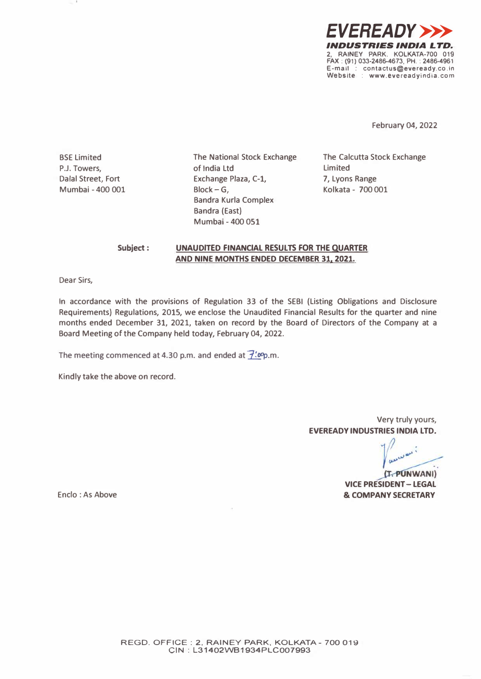

**February 04, 2022** 

**BSE Limited P.J. Towers, Dalal Street, Fort Mumbai - 400 001**  **The National Stock Exchange of India Ltd Exchange Plaza, C-1, Block-G, Bandra Kurla Complex Bandra (East) Mumbai - 400 051** 

**The Calcutta Stock Exchange Limited 7, Lyons Range Kolkata - 700 001** 

#### **Subject: UNAUDITED FINANCIAL RESULTS FOR THE QUARTER AND NINE MONTHS ENDED DECEMBER 31, 2021.**

**Dear Sirs,** 

**In accordance with the provisions of Regulation 33 of the SEBI (Listing Obligations and Disclosure Requirements) Regulations, 2015, we enclose the Unaudited Financial Results for the quarter and nine months ended December 31, 2021, taken on record by the Board of Directors of the Company at a Board Meeting of the Company held today, February 04, 2022.** 

The meeting commenced at 4.30 p.m. and ended at  $\overline{f'.op}$ .m.

**Kindly take the above on record.** 

**Very truly yours, EVEREADY INDUSTRIES INDIA LTD.** 

(T. PUNWANI) **VICE PRESIDENT - LEGAL & COMPANY SECRETARY** 

**Enclo: As Above**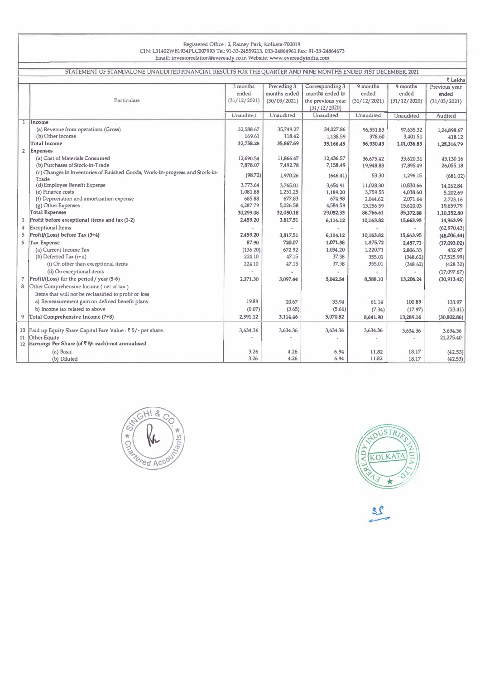#### **Registered Office : 2, Rainey Park, Kolkata-700019. ON: L31402WB1934PLC007993 Tel: 91-33-24559213, 033-24864961 Fax: 91-33-24864673 Email: investorrelation@eveready.co.in Website: www.evereadyindia.com**

| STATEMENT OF STANDALONE UNAUDITED FINANCIAL RESULTS FOR THE QUARTER AND NINE MONTHS ENDED 31ST DECEMBER, 2021 |                                                                                       |                             |              |                   |              |              |               |  |  |
|---------------------------------------------------------------------------------------------------------------|---------------------------------------------------------------------------------------|-----------------------------|--------------|-------------------|--------------|--------------|---------------|--|--|
|                                                                                                               |                                                                                       |                             |              |                   |              |              | ₹ Lakhs       |  |  |
|                                                                                                               |                                                                                       | 3 months                    | Preceding 3  | Corresponding 3   | 9 months     | 9 months     | Previous year |  |  |
|                                                                                                               |                                                                                       | ended                       | months ended | months ended in   | ended        | ended        | ended         |  |  |
|                                                                                                               | Particulars                                                                           | (31/12/2021)                | (30/09/2021) | the previous year | (31/12/2021) | (31/12/2020) | (31/03/2021)  |  |  |
|                                                                                                               |                                                                                       |                             |              | (31/12/2020)      |              |              |               |  |  |
|                                                                                                               |                                                                                       | Unaudited                   | Unaudited    | Unaudited         | Unaudited    | Unaudited    | Audited       |  |  |
|                                                                                                               | 1 Income                                                                              |                             |              |                   |              |              |               |  |  |
|                                                                                                               | (a) Revenue from operations (Gross)                                                   | 32,588.67                   | 35,749.27    | 34,027.86         | 96,551.83    | 97,635.32    | 1,24,898.67   |  |  |
|                                                                                                               | (b) Other Income                                                                      | 169.61                      | 118.42       | 1,138.59          | 378.60       | 3,401.51     | 418.12        |  |  |
|                                                                                                               | <b>Total Income</b>                                                                   | 32,758.28                   | 35,867.69    | 35,166.45         | 96,930.43    | 1,01,036.83  | 1,25,316.79   |  |  |
| $\overline{2}$                                                                                                | <b>Expenses</b>                                                                       |                             |              |                   |              |              |               |  |  |
|                                                                                                               | (a) Cost of Materials Consumed                                                        | 12,690.54                   | 11,866.47    | 12,436.57         | 36,675.42    | 33,620.31    | 43,130.16     |  |  |
|                                                                                                               | (b) Purchases of Stock-in-Trade                                                       | 7,878.07                    | 7,492.78     | 7,158.49          | 19,948.83    | 17,895.49    | 26,055.18     |  |  |
|                                                                                                               | (c) Changes in Inventories of Finished Goods, Work-in-progress and Stock-in-<br>Trade | (98.72)                     | 1,970.26     | (646.41)          | 53.30        | 1,296.15     | (681.02)      |  |  |
|                                                                                                               | (d) Employee Benefit Expense                                                          | 3,773.64                    | 3,765.01     | 3,654.91          | 11,028.30    | 10,830.66    | 14,262.84     |  |  |
|                                                                                                               | (e) Finance costs                                                                     | 1,081.88                    | 1,251.25     | 1,189.20          | 3,759.55     | 4,038.60     | 5,202.69      |  |  |
|                                                                                                               | (f) Depreciation and amortisation expense                                             | 685.88                      | 677.83       | 674.98            | 2,044.62     | 2,071.64     | 2,723.16      |  |  |
|                                                                                                               | (g) Other Expenses                                                                    | 4,287.79                    | 5,026.58     | 4,584.59          | 13,256.59    | 15,620.03    | 19,659.79     |  |  |
|                                                                                                               | <b>Total Expenses</b>                                                                 | 30,299.08                   | 32,050.18    | 29,052.33         | 86,766.61    | 85,372.88    | 1,10,352.80   |  |  |
| 3                                                                                                             | Profit before exceptional items and tax (1-2)                                         | 2,459.20                    | 3,817.51     | 6,114.12          | 10,163.82    | 15,663.95    | 14,963.99     |  |  |
| 4                                                                                                             | <b>Exceptional Items</b>                                                              | $\mathcal{L}_{\mathcal{A}}$ |              |                   |              |              | (62,970.43)   |  |  |
| 5                                                                                                             | Profit/(Loss) before Tax (3+4)                                                        | 2,459.20                    | 3,817.51     | 6,114.12          | 10,163.82    | 15,663.95    | (48,006,44)   |  |  |
| 6                                                                                                             | Tax Expense                                                                           | 87.90                       | 720.07       | 1,071.58          | 1,575.72     | 2,457.71     | (17,093.02)   |  |  |
|                                                                                                               | (a) Current Income Tax                                                                | (136.20)                    | 672.92       | 1,034.20          | 1,220.71     | 2,806,33     | 432.97        |  |  |
|                                                                                                               | (b) Deferred Tax $(i+ii)$                                                             | 224.10                      | 47.15        | 37.38             | 355.01       | (348.62)     | (17, 525.99)  |  |  |
|                                                                                                               | (i) On other than exceptional items                                                   | 224.10                      | 47.15        | 37,38             | 355.01       | (348.62)     | (428.32)      |  |  |
|                                                                                                               | (ii) On exceptional items                                                             |                             |              |                   |              |              | (17,097.67)   |  |  |
| 7                                                                                                             | Profit/(Loss) for the period / year (5-6)                                             | 2,371,30                    | 3,097.44     | 5,042.54          | 8,588.10     | 13,206.24    | (30, 913, 42) |  |  |
| 8                                                                                                             | Other Comprehensive Income (net of tax)                                               |                             |              |                   |              |              |               |  |  |
|                                                                                                               | Items that will not be reclassified to profit or loss                                 |                             |              |                   |              |              |               |  |  |
|                                                                                                               | a) Remeasurement gain on defined benefit plans                                        | 19.89                       | 20.67        | 33.94             | 61.14        | 100.89       | 133,97        |  |  |
|                                                                                                               | b) Income tax related to above                                                        | (0.07)                      | (3.65)       | (5.66)            | (7.34)       | (17.97)      | (23.41)       |  |  |
| 9                                                                                                             | Total Comprehensive Income (7+8)                                                      | 2,391.12                    | 3,114.46     | 5,070.82          | 8,641.90     | 13,289.16    | (30,802.86)   |  |  |
|                                                                                                               |                                                                                       |                             |              |                   |              |              |               |  |  |
| 10                                                                                                            | Paid up Equity Share Capital Face Value : ₹ 5/ - per share.                           | 3,634.36                    | 3,634.36     | 3,634.36          | 3,634.36     | 3,634.36     | 3,634.36      |  |  |
| 11                                                                                                            | Other Equity                                                                          |                             |              |                   |              |              | 21,275.40     |  |  |
| 12                                                                                                            | Earnings Per Share (of ₹ 5/- each)-not annualised                                     |                             |              |                   |              |              |               |  |  |
|                                                                                                               | (a) Basic                                                                             | 3.26                        | 4.26         | 6.94              | 11.82        | 18.17        | (42.53)       |  |  |
|                                                                                                               | (b) Diluted                                                                           | 3.26                        | 4.26         | 6.94              | 11.82        | 18.17        | (42.53)       |  |  |





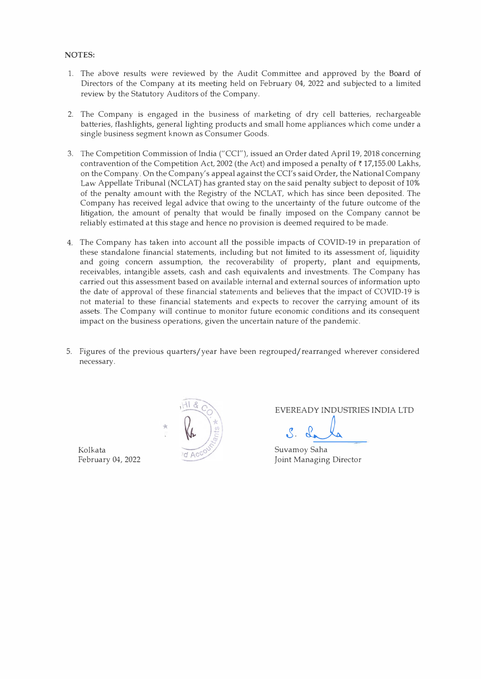# **NOTES:**

- 1. The *above* results were reviewed by the Audit Committee and approved by the Board of Directors of the Company at its meeting held on February 04, 2022 and subjected to a limited review by the Statutory Auditors of the Company.
- 2. The Company is engaged in the business of marketing of dry cell batteries, rechargeable batteries, flashlights, general lighting products and small home appliances which come under a single business segment known as Consumer Goods.
- 3. The Competition Commission of India ("CCI"), issued an Order dated April 19, 2018 concerning contravention of the Competition Act, 2002 (the Act) and imposed a penalty of  $\bar{\tau}$  17,155.00 Lakhs, on the Company. On the Company's appeal against the CCI's said Order, the National Company Law Appellate Tribunal (NCLAT) has granted stay on the said penalty subject to deposit of 10% of the penalty amount with the Registry of the NCLAT, which has since been deposited. The Company has received legal advice that owing to the uncertainty of the future outcome of the litigation, the amount of penalty that would be finally imposed on the Company cannot be reliably estimated at this stage and hence no provision is deemed required to be made.
- 4. The Company has taken into account all the possible impacts of COVID-19 in preparation of these standalone financial statements, including but not limited to its assessment of, liquidity and going concern assumption, the recoverability of property, plant and equipments, receivables, intangible assets, cash and cash equivalents and investments. The Company has carried out this assessment based on available internal and external sources of information upto the date of approval of these financial statements and believes that the impact of COVID-19 is not material to these financial statements and expects to recover the carrying amount of its assets. The Company will continue to monitor future economic conditions and its consequent impact on the business operations, given the uncertain nature of the pandemic.
- 5. Figures of the previous quarters/year have been regrouped/rearranged wherever considered necessary.

Kolkata Suvamoy Saha



EVEREADY INDUSTRIES INDIA LTD

February 04, 2022 Joint Managing Director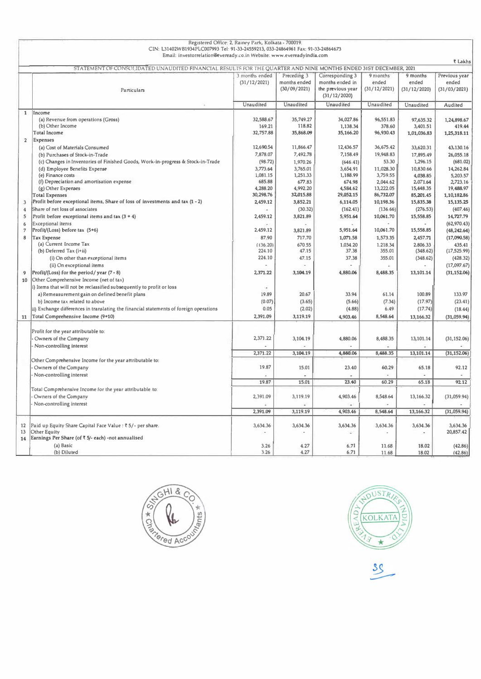| Email: investorrelation@eveready.co.in Website: www.evereadyindia.com<br><b>₹ Lakhs</b><br>STATEMENT OF CONSOLIDATED UNAUDITED FINANCIAL RESULTS FOR THE QUARTER AND NINE MONTHS ENDED 31ST DECEMBER, 2021<br>Preceding 3<br>3 months ended<br>Corresponding 3<br>9 months<br>9 months<br>Previous year<br>(31/12/2021)<br>months ended<br>months ended in<br>ended<br>ended<br>ended<br>(30/09/2021)<br>the previous year<br>(31/12/2021)<br>(31/12/2020)<br>(31/03/2021)<br>Particulars<br>(31/12/2020)<br>Unaudited<br>Unaudited<br>Unaudited<br>Unaudited<br>Unaudited<br>Audited<br>$\mathbf{1}$<br>Income<br>(a) Revenue from operations (Gross)<br>32,588.67<br>35,749.27<br>34,027.86<br>96,551.83<br>97,635.32<br>1,24,898.67<br>(b) Other Income<br>118.82<br>1,138.34<br>378.60<br>169.21<br>3,401.51<br>419.44<br>32,757.88<br>35,868.09<br><b>Total Income</b><br>35,166.20<br>96,930.43<br>1,01,036.83<br>1,25,318.11<br>$\overline{2}$<br><b>Expenses</b><br>12,690.54<br>11,866.47<br>12,436.57<br>36,675.42<br>33,620.31<br>(a) Cost of Materials Consumed<br>43,130.16<br>7,878.07<br>7,492.78<br>7,158.49<br>19,948.83<br>17,895.49<br>(b) Purchases of Stock-in-Trade<br>26,055.18<br>(c) Changes in Inventories of Finished Goods, Work-in-progress & Stock-in-Trade<br>(98.72)<br>1,970.26<br>53.30<br>1,296.15<br>(681.02)<br>(646.41)<br>3,773.64<br>3,765.01<br>3,654.91<br>11,028,30<br>10,830.66<br>(d) Employee Benefits Expense<br>14,262.84<br>(e) Finance costs<br>1,081.15<br>1,251.33<br>1,188.99<br>3,759.55<br>4,038.85<br>5,203.57<br>677.83<br>(f) Depreciation and amortisation expense<br>685.88<br>674.98<br>2,044.62<br>2,071.64<br>2,723.16<br>13,222.05<br>4,288.20<br>4,992.20<br>4,584.62<br>15,448.35<br>19,488.97<br>(g) Other Expenses<br>30,298.76<br>32,015.88<br>29,052.15<br>86,732.07<br>85,201.45<br><b>Total Expenses</b><br>1,10,182.86<br>Profit before exceptional items, Share of loss of investments and tax (1 - 2)<br>2,459.12<br>3,852.21<br>6,114.05<br>10,198.36<br>15,835.38<br>15,135.25<br>3<br>Share of net loss of associates<br>(30.32)<br>(162.41)<br>(136.66)<br>(276.53)<br>W.<br>(407.46)<br>$\overline{4}$<br>Profit before exceptional items and tax $(3 + 4)$<br>2,459.12<br>3,821.89<br>5,951.64<br>10,061.70<br>15,558.85<br>14,727.79<br>5<br>(62,970.43)<br>Exceptional items<br>6<br>Profit/(Loss) before tax (5+6)<br>2,459.12<br>3,821.89<br>5,951.64<br>10,061.70<br>15,558.85<br>$\overline{7}$<br>(48, 242.64)<br>87.90<br>717.70<br>1,071.58<br>1,573.35<br>8<br><b>Tax Expense</b><br>2,457.71<br>(17,090.58)<br>(a) Current Income Tax<br>670.55<br>1,034.20<br>1,218.34<br>(136.20)<br>2,806.33<br>435.41<br>(b) Deferred Tax (i+ii)<br>224.10<br>47.15<br>37.38<br>355.01<br>(348.62)<br>(17, 525.99)<br>224.10<br>(i) On other than exceptional items<br>47.15<br>37.38<br>355.01<br>(348.62)<br>(428.32)<br>(ii) On exceptional items<br>(17,097.67)<br>¥.<br>$\overline{a}$<br>$\hat{\phantom{a}}$<br>Profit/(Loss) for the period/year $(7 - 8)$<br>2,371.22<br>3,104.19<br>4,880.06<br>8,488.35<br>13,101.14<br>(31, 152.06)<br>9<br>Other Comprehensive Income (net of tax)<br>10<br>i) Items that will not be reclassified subsequently to profit or loss<br>×.<br>19.89<br>20.67<br>33.94<br>100.89<br>133.97<br>a) Remeasurement gain on defined benefit plans<br>61.14<br>(0.07)<br>(7.34)<br>(17.97)<br>(23.41)<br>b) Income tax related to above<br>(3.65)<br>(5.66)<br>0.05<br>ii) Exchange differences in translating the financial statements of foreign operations<br>(2.02)<br>(4.88)<br>6.49<br>(17.74)<br>(18.44)<br>Total Comprehensive Income (9+10)<br>11<br>2,391.09<br>3,119.19<br>4,903.46<br>8,548.64<br>13,166.32<br>(31,059.94)<br>Profit for the year attributable to:<br>2,371.22<br>Owners of the Company<br>3,104.19<br>4,880.06<br>8,488.35<br>13,101.14<br>(31, 152.06)<br>Non-controlling interest<br>2,371.22<br>3,104.19<br>4,880.06<br>8,488.35<br>13,101.14<br>(31, 152.06)<br>Other Comprehensive Income for the year attributable to:<br>19.87<br>Owners of the Company<br>15.01<br>23.40<br>65.18<br>60.29<br>92.12<br>Non-controlling interest<br>19.87<br>15.01<br>23.40<br>60.29<br>65.18<br>92.12<br>Total Comprehensive Income for the year attributable to:<br>Owners of the Company<br>2,391.09<br>3,119.19<br>4,903.46<br>(31,059.94)<br>8,548.64<br>13,166.32<br>Non-controlling interest<br>2,391.09<br>3,119.19<br>4,903,46<br>8,548.64<br>13,166.32<br>(31,059.94)<br>Paid up Equity Share Capital Face Value : ₹ 5/- per share.<br>3,634.36<br>3,634.36<br>3,634.36<br>12<br>3,634.36<br>3,634.36<br>3,634.36<br>13<br>Other Equity<br>20,857.42<br>Earnings Per Share (of ₹ 5/- each) -not annualised<br>14<br>(a) Basic<br>3.26<br>4.27<br>6.71<br>11.68<br>18.02<br>(42.86)<br>(b) Diluted<br>3.26<br>4.27<br>6.71<br>11.68<br>18.02<br>(42.86) | Registered Office: 2, Rainey Park, Kolkata - 700019.                             |  |  |  |  |  |  |  |  |  |  |  |
|--------------------------------------------------------------------------------------------------------------------------------------------------------------------------------------------------------------------------------------------------------------------------------------------------------------------------------------------------------------------------------------------------------------------------------------------------------------------------------------------------------------------------------------------------------------------------------------------------------------------------------------------------------------------------------------------------------------------------------------------------------------------------------------------------------------------------------------------------------------------------------------------------------------------------------------------------------------------------------------------------------------------------------------------------------------------------------------------------------------------------------------------------------------------------------------------------------------------------------------------------------------------------------------------------------------------------------------------------------------------------------------------------------------------------------------------------------------------------------------------------------------------------------------------------------------------------------------------------------------------------------------------------------------------------------------------------------------------------------------------------------------------------------------------------------------------------------------------------------------------------------------------------------------------------------------------------------------------------------------------------------------------------------------------------------------------------------------------------------------------------------------------------------------------------------------------------------------------------------------------------------------------------------------------------------------------------------------------------------------------------------------------------------------------------------------------------------------------------------------------------------------------------------------------------------------------------------------------------------------------------------------------------------------------------------------------------------------------------------------------------------------------------------------------------------------------------------------------------------------------------------------------------------------------------------------------------------------------------------------------------------------------------------------------------------------------------------------------------------------------------------------------------------------------------------------------------------------------------------------------------------------------------------------------------------------------------------------------------------------------------------------------------------------------------------------------------------------------------------------------------------------------------------------------------------------------------------------------------------------------------------------------------------------------------------------------------------------------------------------------------------------------------------------------------------------------------------------------------------------------------------------------------------------------------------------------------------------------------------------------------------------------------------------------------------------------------------------------------------------------------------------------------------------------------------------------------------------------------------------------------------------------------------------------------------------------------------------------------------------------------------------------------------------------------------------------------------------------------------------------------------------------------------------------------------------------------------------------------------------------------------------------------------------------------------------------------------------------------------------------------------------------------------------------------------------------------------------------------------------------------------------------------------|----------------------------------------------------------------------------------|--|--|--|--|--|--|--|--|--|--|--|
|                                                                                                                                                                                                                                                                                                                                                                                                                                                                                                                                                                                                                                                                                                                                                                                                                                                                                                                                                                                                                                                                                                                                                                                                                                                                                                                                                                                                                                                                                                                                                                                                                                                                                                                                                                                                                                                                                                                                                                                                                                                                                                                                                                                                                                                                                                                                                                                                                                                                                                                                                                                                                                                                                                                                                                                                                                                                                                                                                                                                                                                                                                                                                                                                                                                                                                                                                                                                                                                                                                                                                                                                                                                                                                                                                                                                                                                                                                                                                                                                                                                                                                                                                                                                                                                                                                                                                                                                                                                                                                                                                                                                                                                                                                                                                                                                                                                                                                        | CIN: L31402WB1934PLC007993 Tel: 91-33-24559213, 033-24864961 Fax: 91-33-24864673 |  |  |  |  |  |  |  |  |  |  |  |
|                                                                                                                                                                                                                                                                                                                                                                                                                                                                                                                                                                                                                                                                                                                                                                                                                                                                                                                                                                                                                                                                                                                                                                                                                                                                                                                                                                                                                                                                                                                                                                                                                                                                                                                                                                                                                                                                                                                                                                                                                                                                                                                                                                                                                                                                                                                                                                                                                                                                                                                                                                                                                                                                                                                                                                                                                                                                                                                                                                                                                                                                                                                                                                                                                                                                                                                                                                                                                                                                                                                                                                                                                                                                                                                                                                                                                                                                                                                                                                                                                                                                                                                                                                                                                                                                                                                                                                                                                                                                                                                                                                                                                                                                                                                                                                                                                                                                                                        |                                                                                  |  |  |  |  |  |  |  |  |  |  |  |
|                                                                                                                                                                                                                                                                                                                                                                                                                                                                                                                                                                                                                                                                                                                                                                                                                                                                                                                                                                                                                                                                                                                                                                                                                                                                                                                                                                                                                                                                                                                                                                                                                                                                                                                                                                                                                                                                                                                                                                                                                                                                                                                                                                                                                                                                                                                                                                                                                                                                                                                                                                                                                                                                                                                                                                                                                                                                                                                                                                                                                                                                                                                                                                                                                                                                                                                                                                                                                                                                                                                                                                                                                                                                                                                                                                                                                                                                                                                                                                                                                                                                                                                                                                                                                                                                                                                                                                                                                                                                                                                                                                                                                                                                                                                                                                                                                                                                                                        |                                                                                  |  |  |  |  |  |  |  |  |  |  |  |
|                                                                                                                                                                                                                                                                                                                                                                                                                                                                                                                                                                                                                                                                                                                                                                                                                                                                                                                                                                                                                                                                                                                                                                                                                                                                                                                                                                                                                                                                                                                                                                                                                                                                                                                                                                                                                                                                                                                                                                                                                                                                                                                                                                                                                                                                                                                                                                                                                                                                                                                                                                                                                                                                                                                                                                                                                                                                                                                                                                                                                                                                                                                                                                                                                                                                                                                                                                                                                                                                                                                                                                                                                                                                                                                                                                                                                                                                                                                                                                                                                                                                                                                                                                                                                                                                                                                                                                                                                                                                                                                                                                                                                                                                                                                                                                                                                                                                                                        |                                                                                  |  |  |  |  |  |  |  |  |  |  |  |
|                                                                                                                                                                                                                                                                                                                                                                                                                                                                                                                                                                                                                                                                                                                                                                                                                                                                                                                                                                                                                                                                                                                                                                                                                                                                                                                                                                                                                                                                                                                                                                                                                                                                                                                                                                                                                                                                                                                                                                                                                                                                                                                                                                                                                                                                                                                                                                                                                                                                                                                                                                                                                                                                                                                                                                                                                                                                                                                                                                                                                                                                                                                                                                                                                                                                                                                                                                                                                                                                                                                                                                                                                                                                                                                                                                                                                                                                                                                                                                                                                                                                                                                                                                                                                                                                                                                                                                                                                                                                                                                                                                                                                                                                                                                                                                                                                                                                                                        |                                                                                  |  |  |  |  |  |  |  |  |  |  |  |
|                                                                                                                                                                                                                                                                                                                                                                                                                                                                                                                                                                                                                                                                                                                                                                                                                                                                                                                                                                                                                                                                                                                                                                                                                                                                                                                                                                                                                                                                                                                                                                                                                                                                                                                                                                                                                                                                                                                                                                                                                                                                                                                                                                                                                                                                                                                                                                                                                                                                                                                                                                                                                                                                                                                                                                                                                                                                                                                                                                                                                                                                                                                                                                                                                                                                                                                                                                                                                                                                                                                                                                                                                                                                                                                                                                                                                                                                                                                                                                                                                                                                                                                                                                                                                                                                                                                                                                                                                                                                                                                                                                                                                                                                                                                                                                                                                                                                                                        |                                                                                  |  |  |  |  |  |  |  |  |  |  |  |
|                                                                                                                                                                                                                                                                                                                                                                                                                                                                                                                                                                                                                                                                                                                                                                                                                                                                                                                                                                                                                                                                                                                                                                                                                                                                                                                                                                                                                                                                                                                                                                                                                                                                                                                                                                                                                                                                                                                                                                                                                                                                                                                                                                                                                                                                                                                                                                                                                                                                                                                                                                                                                                                                                                                                                                                                                                                                                                                                                                                                                                                                                                                                                                                                                                                                                                                                                                                                                                                                                                                                                                                                                                                                                                                                                                                                                                                                                                                                                                                                                                                                                                                                                                                                                                                                                                                                                                                                                                                                                                                                                                                                                                                                                                                                                                                                                                                                                                        |                                                                                  |  |  |  |  |  |  |  |  |  |  |  |
|                                                                                                                                                                                                                                                                                                                                                                                                                                                                                                                                                                                                                                                                                                                                                                                                                                                                                                                                                                                                                                                                                                                                                                                                                                                                                                                                                                                                                                                                                                                                                                                                                                                                                                                                                                                                                                                                                                                                                                                                                                                                                                                                                                                                                                                                                                                                                                                                                                                                                                                                                                                                                                                                                                                                                                                                                                                                                                                                                                                                                                                                                                                                                                                                                                                                                                                                                                                                                                                                                                                                                                                                                                                                                                                                                                                                                                                                                                                                                                                                                                                                                                                                                                                                                                                                                                                                                                                                                                                                                                                                                                                                                                                                                                                                                                                                                                                                                                        |                                                                                  |  |  |  |  |  |  |  |  |  |  |  |
|                                                                                                                                                                                                                                                                                                                                                                                                                                                                                                                                                                                                                                                                                                                                                                                                                                                                                                                                                                                                                                                                                                                                                                                                                                                                                                                                                                                                                                                                                                                                                                                                                                                                                                                                                                                                                                                                                                                                                                                                                                                                                                                                                                                                                                                                                                                                                                                                                                                                                                                                                                                                                                                                                                                                                                                                                                                                                                                                                                                                                                                                                                                                                                                                                                                                                                                                                                                                                                                                                                                                                                                                                                                                                                                                                                                                                                                                                                                                                                                                                                                                                                                                                                                                                                                                                                                                                                                                                                                                                                                                                                                                                                                                                                                                                                                                                                                                                                        |                                                                                  |  |  |  |  |  |  |  |  |  |  |  |
|                                                                                                                                                                                                                                                                                                                                                                                                                                                                                                                                                                                                                                                                                                                                                                                                                                                                                                                                                                                                                                                                                                                                                                                                                                                                                                                                                                                                                                                                                                                                                                                                                                                                                                                                                                                                                                                                                                                                                                                                                                                                                                                                                                                                                                                                                                                                                                                                                                                                                                                                                                                                                                                                                                                                                                                                                                                                                                                                                                                                                                                                                                                                                                                                                                                                                                                                                                                                                                                                                                                                                                                                                                                                                                                                                                                                                                                                                                                                                                                                                                                                                                                                                                                                                                                                                                                                                                                                                                                                                                                                                                                                                                                                                                                                                                                                                                                                                                        |                                                                                  |  |  |  |  |  |  |  |  |  |  |  |
|                                                                                                                                                                                                                                                                                                                                                                                                                                                                                                                                                                                                                                                                                                                                                                                                                                                                                                                                                                                                                                                                                                                                                                                                                                                                                                                                                                                                                                                                                                                                                                                                                                                                                                                                                                                                                                                                                                                                                                                                                                                                                                                                                                                                                                                                                                                                                                                                                                                                                                                                                                                                                                                                                                                                                                                                                                                                                                                                                                                                                                                                                                                                                                                                                                                                                                                                                                                                                                                                                                                                                                                                                                                                                                                                                                                                                                                                                                                                                                                                                                                                                                                                                                                                                                                                                                                                                                                                                                                                                                                                                                                                                                                                                                                                                                                                                                                                                                        |                                                                                  |  |  |  |  |  |  |  |  |  |  |  |
|                                                                                                                                                                                                                                                                                                                                                                                                                                                                                                                                                                                                                                                                                                                                                                                                                                                                                                                                                                                                                                                                                                                                                                                                                                                                                                                                                                                                                                                                                                                                                                                                                                                                                                                                                                                                                                                                                                                                                                                                                                                                                                                                                                                                                                                                                                                                                                                                                                                                                                                                                                                                                                                                                                                                                                                                                                                                                                                                                                                                                                                                                                                                                                                                                                                                                                                                                                                                                                                                                                                                                                                                                                                                                                                                                                                                                                                                                                                                                                                                                                                                                                                                                                                                                                                                                                                                                                                                                                                                                                                                                                                                                                                                                                                                                                                                                                                                                                        |                                                                                  |  |  |  |  |  |  |  |  |  |  |  |
|                                                                                                                                                                                                                                                                                                                                                                                                                                                                                                                                                                                                                                                                                                                                                                                                                                                                                                                                                                                                                                                                                                                                                                                                                                                                                                                                                                                                                                                                                                                                                                                                                                                                                                                                                                                                                                                                                                                                                                                                                                                                                                                                                                                                                                                                                                                                                                                                                                                                                                                                                                                                                                                                                                                                                                                                                                                                                                                                                                                                                                                                                                                                                                                                                                                                                                                                                                                                                                                                                                                                                                                                                                                                                                                                                                                                                                                                                                                                                                                                                                                                                                                                                                                                                                                                                                                                                                                                                                                                                                                                                                                                                                                                                                                                                                                                                                                                                                        |                                                                                  |  |  |  |  |  |  |  |  |  |  |  |
|                                                                                                                                                                                                                                                                                                                                                                                                                                                                                                                                                                                                                                                                                                                                                                                                                                                                                                                                                                                                                                                                                                                                                                                                                                                                                                                                                                                                                                                                                                                                                                                                                                                                                                                                                                                                                                                                                                                                                                                                                                                                                                                                                                                                                                                                                                                                                                                                                                                                                                                                                                                                                                                                                                                                                                                                                                                                                                                                                                                                                                                                                                                                                                                                                                                                                                                                                                                                                                                                                                                                                                                                                                                                                                                                                                                                                                                                                                                                                                                                                                                                                                                                                                                                                                                                                                                                                                                                                                                                                                                                                                                                                                                                                                                                                                                                                                                                                                        |                                                                                  |  |  |  |  |  |  |  |  |  |  |  |
|                                                                                                                                                                                                                                                                                                                                                                                                                                                                                                                                                                                                                                                                                                                                                                                                                                                                                                                                                                                                                                                                                                                                                                                                                                                                                                                                                                                                                                                                                                                                                                                                                                                                                                                                                                                                                                                                                                                                                                                                                                                                                                                                                                                                                                                                                                                                                                                                                                                                                                                                                                                                                                                                                                                                                                                                                                                                                                                                                                                                                                                                                                                                                                                                                                                                                                                                                                                                                                                                                                                                                                                                                                                                                                                                                                                                                                                                                                                                                                                                                                                                                                                                                                                                                                                                                                                                                                                                                                                                                                                                                                                                                                                                                                                                                                                                                                                                                                        |                                                                                  |  |  |  |  |  |  |  |  |  |  |  |
|                                                                                                                                                                                                                                                                                                                                                                                                                                                                                                                                                                                                                                                                                                                                                                                                                                                                                                                                                                                                                                                                                                                                                                                                                                                                                                                                                                                                                                                                                                                                                                                                                                                                                                                                                                                                                                                                                                                                                                                                                                                                                                                                                                                                                                                                                                                                                                                                                                                                                                                                                                                                                                                                                                                                                                                                                                                                                                                                                                                                                                                                                                                                                                                                                                                                                                                                                                                                                                                                                                                                                                                                                                                                                                                                                                                                                                                                                                                                                                                                                                                                                                                                                                                                                                                                                                                                                                                                                                                                                                                                                                                                                                                                                                                                                                                                                                                                                                        |                                                                                  |  |  |  |  |  |  |  |  |  |  |  |
|                                                                                                                                                                                                                                                                                                                                                                                                                                                                                                                                                                                                                                                                                                                                                                                                                                                                                                                                                                                                                                                                                                                                                                                                                                                                                                                                                                                                                                                                                                                                                                                                                                                                                                                                                                                                                                                                                                                                                                                                                                                                                                                                                                                                                                                                                                                                                                                                                                                                                                                                                                                                                                                                                                                                                                                                                                                                                                                                                                                                                                                                                                                                                                                                                                                                                                                                                                                                                                                                                                                                                                                                                                                                                                                                                                                                                                                                                                                                                                                                                                                                                                                                                                                                                                                                                                                                                                                                                                                                                                                                                                                                                                                                                                                                                                                                                                                                                                        |                                                                                  |  |  |  |  |  |  |  |  |  |  |  |
|                                                                                                                                                                                                                                                                                                                                                                                                                                                                                                                                                                                                                                                                                                                                                                                                                                                                                                                                                                                                                                                                                                                                                                                                                                                                                                                                                                                                                                                                                                                                                                                                                                                                                                                                                                                                                                                                                                                                                                                                                                                                                                                                                                                                                                                                                                                                                                                                                                                                                                                                                                                                                                                                                                                                                                                                                                                                                                                                                                                                                                                                                                                                                                                                                                                                                                                                                                                                                                                                                                                                                                                                                                                                                                                                                                                                                                                                                                                                                                                                                                                                                                                                                                                                                                                                                                                                                                                                                                                                                                                                                                                                                                                                                                                                                                                                                                                                                                        |                                                                                  |  |  |  |  |  |  |  |  |  |  |  |
|                                                                                                                                                                                                                                                                                                                                                                                                                                                                                                                                                                                                                                                                                                                                                                                                                                                                                                                                                                                                                                                                                                                                                                                                                                                                                                                                                                                                                                                                                                                                                                                                                                                                                                                                                                                                                                                                                                                                                                                                                                                                                                                                                                                                                                                                                                                                                                                                                                                                                                                                                                                                                                                                                                                                                                                                                                                                                                                                                                                                                                                                                                                                                                                                                                                                                                                                                                                                                                                                                                                                                                                                                                                                                                                                                                                                                                                                                                                                                                                                                                                                                                                                                                                                                                                                                                                                                                                                                                                                                                                                                                                                                                                                                                                                                                                                                                                                                                        |                                                                                  |  |  |  |  |  |  |  |  |  |  |  |
|                                                                                                                                                                                                                                                                                                                                                                                                                                                                                                                                                                                                                                                                                                                                                                                                                                                                                                                                                                                                                                                                                                                                                                                                                                                                                                                                                                                                                                                                                                                                                                                                                                                                                                                                                                                                                                                                                                                                                                                                                                                                                                                                                                                                                                                                                                                                                                                                                                                                                                                                                                                                                                                                                                                                                                                                                                                                                                                                                                                                                                                                                                                                                                                                                                                                                                                                                                                                                                                                                                                                                                                                                                                                                                                                                                                                                                                                                                                                                                                                                                                                                                                                                                                                                                                                                                                                                                                                                                                                                                                                                                                                                                                                                                                                                                                                                                                                                                        |                                                                                  |  |  |  |  |  |  |  |  |  |  |  |
|                                                                                                                                                                                                                                                                                                                                                                                                                                                                                                                                                                                                                                                                                                                                                                                                                                                                                                                                                                                                                                                                                                                                                                                                                                                                                                                                                                                                                                                                                                                                                                                                                                                                                                                                                                                                                                                                                                                                                                                                                                                                                                                                                                                                                                                                                                                                                                                                                                                                                                                                                                                                                                                                                                                                                                                                                                                                                                                                                                                                                                                                                                                                                                                                                                                                                                                                                                                                                                                                                                                                                                                                                                                                                                                                                                                                                                                                                                                                                                                                                                                                                                                                                                                                                                                                                                                                                                                                                                                                                                                                                                                                                                                                                                                                                                                                                                                                                                        |                                                                                  |  |  |  |  |  |  |  |  |  |  |  |
|                                                                                                                                                                                                                                                                                                                                                                                                                                                                                                                                                                                                                                                                                                                                                                                                                                                                                                                                                                                                                                                                                                                                                                                                                                                                                                                                                                                                                                                                                                                                                                                                                                                                                                                                                                                                                                                                                                                                                                                                                                                                                                                                                                                                                                                                                                                                                                                                                                                                                                                                                                                                                                                                                                                                                                                                                                                                                                                                                                                                                                                                                                                                                                                                                                                                                                                                                                                                                                                                                                                                                                                                                                                                                                                                                                                                                                                                                                                                                                                                                                                                                                                                                                                                                                                                                                                                                                                                                                                                                                                                                                                                                                                                                                                                                                                                                                                                                                        |                                                                                  |  |  |  |  |  |  |  |  |  |  |  |
|                                                                                                                                                                                                                                                                                                                                                                                                                                                                                                                                                                                                                                                                                                                                                                                                                                                                                                                                                                                                                                                                                                                                                                                                                                                                                                                                                                                                                                                                                                                                                                                                                                                                                                                                                                                                                                                                                                                                                                                                                                                                                                                                                                                                                                                                                                                                                                                                                                                                                                                                                                                                                                                                                                                                                                                                                                                                                                                                                                                                                                                                                                                                                                                                                                                                                                                                                                                                                                                                                                                                                                                                                                                                                                                                                                                                                                                                                                                                                                                                                                                                                                                                                                                                                                                                                                                                                                                                                                                                                                                                                                                                                                                                                                                                                                                                                                                                                                        |                                                                                  |  |  |  |  |  |  |  |  |  |  |  |
|                                                                                                                                                                                                                                                                                                                                                                                                                                                                                                                                                                                                                                                                                                                                                                                                                                                                                                                                                                                                                                                                                                                                                                                                                                                                                                                                                                                                                                                                                                                                                                                                                                                                                                                                                                                                                                                                                                                                                                                                                                                                                                                                                                                                                                                                                                                                                                                                                                                                                                                                                                                                                                                                                                                                                                                                                                                                                                                                                                                                                                                                                                                                                                                                                                                                                                                                                                                                                                                                                                                                                                                                                                                                                                                                                                                                                                                                                                                                                                                                                                                                                                                                                                                                                                                                                                                                                                                                                                                                                                                                                                                                                                                                                                                                                                                                                                                                                                        |                                                                                  |  |  |  |  |  |  |  |  |  |  |  |
|                                                                                                                                                                                                                                                                                                                                                                                                                                                                                                                                                                                                                                                                                                                                                                                                                                                                                                                                                                                                                                                                                                                                                                                                                                                                                                                                                                                                                                                                                                                                                                                                                                                                                                                                                                                                                                                                                                                                                                                                                                                                                                                                                                                                                                                                                                                                                                                                                                                                                                                                                                                                                                                                                                                                                                                                                                                                                                                                                                                                                                                                                                                                                                                                                                                                                                                                                                                                                                                                                                                                                                                                                                                                                                                                                                                                                                                                                                                                                                                                                                                                                                                                                                                                                                                                                                                                                                                                                                                                                                                                                                                                                                                                                                                                                                                                                                                                                                        |                                                                                  |  |  |  |  |  |  |  |  |  |  |  |
|                                                                                                                                                                                                                                                                                                                                                                                                                                                                                                                                                                                                                                                                                                                                                                                                                                                                                                                                                                                                                                                                                                                                                                                                                                                                                                                                                                                                                                                                                                                                                                                                                                                                                                                                                                                                                                                                                                                                                                                                                                                                                                                                                                                                                                                                                                                                                                                                                                                                                                                                                                                                                                                                                                                                                                                                                                                                                                                                                                                                                                                                                                                                                                                                                                                                                                                                                                                                                                                                                                                                                                                                                                                                                                                                                                                                                                                                                                                                                                                                                                                                                                                                                                                                                                                                                                                                                                                                                                                                                                                                                                                                                                                                                                                                                                                                                                                                                                        |                                                                                  |  |  |  |  |  |  |  |  |  |  |  |
|                                                                                                                                                                                                                                                                                                                                                                                                                                                                                                                                                                                                                                                                                                                                                                                                                                                                                                                                                                                                                                                                                                                                                                                                                                                                                                                                                                                                                                                                                                                                                                                                                                                                                                                                                                                                                                                                                                                                                                                                                                                                                                                                                                                                                                                                                                                                                                                                                                                                                                                                                                                                                                                                                                                                                                                                                                                                                                                                                                                                                                                                                                                                                                                                                                                                                                                                                                                                                                                                                                                                                                                                                                                                                                                                                                                                                                                                                                                                                                                                                                                                                                                                                                                                                                                                                                                                                                                                                                                                                                                                                                                                                                                                                                                                                                                                                                                                                                        |                                                                                  |  |  |  |  |  |  |  |  |  |  |  |
|                                                                                                                                                                                                                                                                                                                                                                                                                                                                                                                                                                                                                                                                                                                                                                                                                                                                                                                                                                                                                                                                                                                                                                                                                                                                                                                                                                                                                                                                                                                                                                                                                                                                                                                                                                                                                                                                                                                                                                                                                                                                                                                                                                                                                                                                                                                                                                                                                                                                                                                                                                                                                                                                                                                                                                                                                                                                                                                                                                                                                                                                                                                                                                                                                                                                                                                                                                                                                                                                                                                                                                                                                                                                                                                                                                                                                                                                                                                                                                                                                                                                                                                                                                                                                                                                                                                                                                                                                                                                                                                                                                                                                                                                                                                                                                                                                                                                                                        |                                                                                  |  |  |  |  |  |  |  |  |  |  |  |
|                                                                                                                                                                                                                                                                                                                                                                                                                                                                                                                                                                                                                                                                                                                                                                                                                                                                                                                                                                                                                                                                                                                                                                                                                                                                                                                                                                                                                                                                                                                                                                                                                                                                                                                                                                                                                                                                                                                                                                                                                                                                                                                                                                                                                                                                                                                                                                                                                                                                                                                                                                                                                                                                                                                                                                                                                                                                                                                                                                                                                                                                                                                                                                                                                                                                                                                                                                                                                                                                                                                                                                                                                                                                                                                                                                                                                                                                                                                                                                                                                                                                                                                                                                                                                                                                                                                                                                                                                                                                                                                                                                                                                                                                                                                                                                                                                                                                                                        |                                                                                  |  |  |  |  |  |  |  |  |  |  |  |
|                                                                                                                                                                                                                                                                                                                                                                                                                                                                                                                                                                                                                                                                                                                                                                                                                                                                                                                                                                                                                                                                                                                                                                                                                                                                                                                                                                                                                                                                                                                                                                                                                                                                                                                                                                                                                                                                                                                                                                                                                                                                                                                                                                                                                                                                                                                                                                                                                                                                                                                                                                                                                                                                                                                                                                                                                                                                                                                                                                                                                                                                                                                                                                                                                                                                                                                                                                                                                                                                                                                                                                                                                                                                                                                                                                                                                                                                                                                                                                                                                                                                                                                                                                                                                                                                                                                                                                                                                                                                                                                                                                                                                                                                                                                                                                                                                                                                                                        |                                                                                  |  |  |  |  |  |  |  |  |  |  |  |
|                                                                                                                                                                                                                                                                                                                                                                                                                                                                                                                                                                                                                                                                                                                                                                                                                                                                                                                                                                                                                                                                                                                                                                                                                                                                                                                                                                                                                                                                                                                                                                                                                                                                                                                                                                                                                                                                                                                                                                                                                                                                                                                                                                                                                                                                                                                                                                                                                                                                                                                                                                                                                                                                                                                                                                                                                                                                                                                                                                                                                                                                                                                                                                                                                                                                                                                                                                                                                                                                                                                                                                                                                                                                                                                                                                                                                                                                                                                                                                                                                                                                                                                                                                                                                                                                                                                                                                                                                                                                                                                                                                                                                                                                                                                                                                                                                                                                                                        |                                                                                  |  |  |  |  |  |  |  |  |  |  |  |
|                                                                                                                                                                                                                                                                                                                                                                                                                                                                                                                                                                                                                                                                                                                                                                                                                                                                                                                                                                                                                                                                                                                                                                                                                                                                                                                                                                                                                                                                                                                                                                                                                                                                                                                                                                                                                                                                                                                                                                                                                                                                                                                                                                                                                                                                                                                                                                                                                                                                                                                                                                                                                                                                                                                                                                                                                                                                                                                                                                                                                                                                                                                                                                                                                                                                                                                                                                                                                                                                                                                                                                                                                                                                                                                                                                                                                                                                                                                                                                                                                                                                                                                                                                                                                                                                                                                                                                                                                                                                                                                                                                                                                                                                                                                                                                                                                                                                                                        |                                                                                  |  |  |  |  |  |  |  |  |  |  |  |
|                                                                                                                                                                                                                                                                                                                                                                                                                                                                                                                                                                                                                                                                                                                                                                                                                                                                                                                                                                                                                                                                                                                                                                                                                                                                                                                                                                                                                                                                                                                                                                                                                                                                                                                                                                                                                                                                                                                                                                                                                                                                                                                                                                                                                                                                                                                                                                                                                                                                                                                                                                                                                                                                                                                                                                                                                                                                                                                                                                                                                                                                                                                                                                                                                                                                                                                                                                                                                                                                                                                                                                                                                                                                                                                                                                                                                                                                                                                                                                                                                                                                                                                                                                                                                                                                                                                                                                                                                                                                                                                                                                                                                                                                                                                                                                                                                                                                                                        |                                                                                  |  |  |  |  |  |  |  |  |  |  |  |
|                                                                                                                                                                                                                                                                                                                                                                                                                                                                                                                                                                                                                                                                                                                                                                                                                                                                                                                                                                                                                                                                                                                                                                                                                                                                                                                                                                                                                                                                                                                                                                                                                                                                                                                                                                                                                                                                                                                                                                                                                                                                                                                                                                                                                                                                                                                                                                                                                                                                                                                                                                                                                                                                                                                                                                                                                                                                                                                                                                                                                                                                                                                                                                                                                                                                                                                                                                                                                                                                                                                                                                                                                                                                                                                                                                                                                                                                                                                                                                                                                                                                                                                                                                                                                                                                                                                                                                                                                                                                                                                                                                                                                                                                                                                                                                                                                                                                                                        |                                                                                  |  |  |  |  |  |  |  |  |  |  |  |
|                                                                                                                                                                                                                                                                                                                                                                                                                                                                                                                                                                                                                                                                                                                                                                                                                                                                                                                                                                                                                                                                                                                                                                                                                                                                                                                                                                                                                                                                                                                                                                                                                                                                                                                                                                                                                                                                                                                                                                                                                                                                                                                                                                                                                                                                                                                                                                                                                                                                                                                                                                                                                                                                                                                                                                                                                                                                                                                                                                                                                                                                                                                                                                                                                                                                                                                                                                                                                                                                                                                                                                                                                                                                                                                                                                                                                                                                                                                                                                                                                                                                                                                                                                                                                                                                                                                                                                                                                                                                                                                                                                                                                                                                                                                                                                                                                                                                                                        |                                                                                  |  |  |  |  |  |  |  |  |  |  |  |
|                                                                                                                                                                                                                                                                                                                                                                                                                                                                                                                                                                                                                                                                                                                                                                                                                                                                                                                                                                                                                                                                                                                                                                                                                                                                                                                                                                                                                                                                                                                                                                                                                                                                                                                                                                                                                                                                                                                                                                                                                                                                                                                                                                                                                                                                                                                                                                                                                                                                                                                                                                                                                                                                                                                                                                                                                                                                                                                                                                                                                                                                                                                                                                                                                                                                                                                                                                                                                                                                                                                                                                                                                                                                                                                                                                                                                                                                                                                                                                                                                                                                                                                                                                                                                                                                                                                                                                                                                                                                                                                                                                                                                                                                                                                                                                                                                                                                                                        |                                                                                  |  |  |  |  |  |  |  |  |  |  |  |
|                                                                                                                                                                                                                                                                                                                                                                                                                                                                                                                                                                                                                                                                                                                                                                                                                                                                                                                                                                                                                                                                                                                                                                                                                                                                                                                                                                                                                                                                                                                                                                                                                                                                                                                                                                                                                                                                                                                                                                                                                                                                                                                                                                                                                                                                                                                                                                                                                                                                                                                                                                                                                                                                                                                                                                                                                                                                                                                                                                                                                                                                                                                                                                                                                                                                                                                                                                                                                                                                                                                                                                                                                                                                                                                                                                                                                                                                                                                                                                                                                                                                                                                                                                                                                                                                                                                                                                                                                                                                                                                                                                                                                                                                                                                                                                                                                                                                                                        |                                                                                  |  |  |  |  |  |  |  |  |  |  |  |
|                                                                                                                                                                                                                                                                                                                                                                                                                                                                                                                                                                                                                                                                                                                                                                                                                                                                                                                                                                                                                                                                                                                                                                                                                                                                                                                                                                                                                                                                                                                                                                                                                                                                                                                                                                                                                                                                                                                                                                                                                                                                                                                                                                                                                                                                                                                                                                                                                                                                                                                                                                                                                                                                                                                                                                                                                                                                                                                                                                                                                                                                                                                                                                                                                                                                                                                                                                                                                                                                                                                                                                                                                                                                                                                                                                                                                                                                                                                                                                                                                                                                                                                                                                                                                                                                                                                                                                                                                                                                                                                                                                                                                                                                                                                                                                                                                                                                                                        |                                                                                  |  |  |  |  |  |  |  |  |  |  |  |
|                                                                                                                                                                                                                                                                                                                                                                                                                                                                                                                                                                                                                                                                                                                                                                                                                                                                                                                                                                                                                                                                                                                                                                                                                                                                                                                                                                                                                                                                                                                                                                                                                                                                                                                                                                                                                                                                                                                                                                                                                                                                                                                                                                                                                                                                                                                                                                                                                                                                                                                                                                                                                                                                                                                                                                                                                                                                                                                                                                                                                                                                                                                                                                                                                                                                                                                                                                                                                                                                                                                                                                                                                                                                                                                                                                                                                                                                                                                                                                                                                                                                                                                                                                                                                                                                                                                                                                                                                                                                                                                                                                                                                                                                                                                                                                                                                                                                                                        |                                                                                  |  |  |  |  |  |  |  |  |  |  |  |
|                                                                                                                                                                                                                                                                                                                                                                                                                                                                                                                                                                                                                                                                                                                                                                                                                                                                                                                                                                                                                                                                                                                                                                                                                                                                                                                                                                                                                                                                                                                                                                                                                                                                                                                                                                                                                                                                                                                                                                                                                                                                                                                                                                                                                                                                                                                                                                                                                                                                                                                                                                                                                                                                                                                                                                                                                                                                                                                                                                                                                                                                                                                                                                                                                                                                                                                                                                                                                                                                                                                                                                                                                                                                                                                                                                                                                                                                                                                                                                                                                                                                                                                                                                                                                                                                                                                                                                                                                                                                                                                                                                                                                                                                                                                                                                                                                                                                                                        |                                                                                  |  |  |  |  |  |  |  |  |  |  |  |
|                                                                                                                                                                                                                                                                                                                                                                                                                                                                                                                                                                                                                                                                                                                                                                                                                                                                                                                                                                                                                                                                                                                                                                                                                                                                                                                                                                                                                                                                                                                                                                                                                                                                                                                                                                                                                                                                                                                                                                                                                                                                                                                                                                                                                                                                                                                                                                                                                                                                                                                                                                                                                                                                                                                                                                                                                                                                                                                                                                                                                                                                                                                                                                                                                                                                                                                                                                                                                                                                                                                                                                                                                                                                                                                                                                                                                                                                                                                                                                                                                                                                                                                                                                                                                                                                                                                                                                                                                                                                                                                                                                                                                                                                                                                                                                                                                                                                                                        |                                                                                  |  |  |  |  |  |  |  |  |  |  |  |
|                                                                                                                                                                                                                                                                                                                                                                                                                                                                                                                                                                                                                                                                                                                                                                                                                                                                                                                                                                                                                                                                                                                                                                                                                                                                                                                                                                                                                                                                                                                                                                                                                                                                                                                                                                                                                                                                                                                                                                                                                                                                                                                                                                                                                                                                                                                                                                                                                                                                                                                                                                                                                                                                                                                                                                                                                                                                                                                                                                                                                                                                                                                                                                                                                                                                                                                                                                                                                                                                                                                                                                                                                                                                                                                                                                                                                                                                                                                                                                                                                                                                                                                                                                                                                                                                                                                                                                                                                                                                                                                                                                                                                                                                                                                                                                                                                                                                                                        |                                                                                  |  |  |  |  |  |  |  |  |  |  |  |
|                                                                                                                                                                                                                                                                                                                                                                                                                                                                                                                                                                                                                                                                                                                                                                                                                                                                                                                                                                                                                                                                                                                                                                                                                                                                                                                                                                                                                                                                                                                                                                                                                                                                                                                                                                                                                                                                                                                                                                                                                                                                                                                                                                                                                                                                                                                                                                                                                                                                                                                                                                                                                                                                                                                                                                                                                                                                                                                                                                                                                                                                                                                                                                                                                                                                                                                                                                                                                                                                                                                                                                                                                                                                                                                                                                                                                                                                                                                                                                                                                                                                                                                                                                                                                                                                                                                                                                                                                                                                                                                                                                                                                                                                                                                                                                                                                                                                                                        |                                                                                  |  |  |  |  |  |  |  |  |  |  |  |
|                                                                                                                                                                                                                                                                                                                                                                                                                                                                                                                                                                                                                                                                                                                                                                                                                                                                                                                                                                                                                                                                                                                                                                                                                                                                                                                                                                                                                                                                                                                                                                                                                                                                                                                                                                                                                                                                                                                                                                                                                                                                                                                                                                                                                                                                                                                                                                                                                                                                                                                                                                                                                                                                                                                                                                                                                                                                                                                                                                                                                                                                                                                                                                                                                                                                                                                                                                                                                                                                                                                                                                                                                                                                                                                                                                                                                                                                                                                                                                                                                                                                                                                                                                                                                                                                                                                                                                                                                                                                                                                                                                                                                                                                                                                                                                                                                                                                                                        |                                                                                  |  |  |  |  |  |  |  |  |  |  |  |
|                                                                                                                                                                                                                                                                                                                                                                                                                                                                                                                                                                                                                                                                                                                                                                                                                                                                                                                                                                                                                                                                                                                                                                                                                                                                                                                                                                                                                                                                                                                                                                                                                                                                                                                                                                                                                                                                                                                                                                                                                                                                                                                                                                                                                                                                                                                                                                                                                                                                                                                                                                                                                                                                                                                                                                                                                                                                                                                                                                                                                                                                                                                                                                                                                                                                                                                                                                                                                                                                                                                                                                                                                                                                                                                                                                                                                                                                                                                                                                                                                                                                                                                                                                                                                                                                                                                                                                                                                                                                                                                                                                                                                                                                                                                                                                                                                                                                                                        |                                                                                  |  |  |  |  |  |  |  |  |  |  |  |
|                                                                                                                                                                                                                                                                                                                                                                                                                                                                                                                                                                                                                                                                                                                                                                                                                                                                                                                                                                                                                                                                                                                                                                                                                                                                                                                                                                                                                                                                                                                                                                                                                                                                                                                                                                                                                                                                                                                                                                                                                                                                                                                                                                                                                                                                                                                                                                                                                                                                                                                                                                                                                                                                                                                                                                                                                                                                                                                                                                                                                                                                                                                                                                                                                                                                                                                                                                                                                                                                                                                                                                                                                                                                                                                                                                                                                                                                                                                                                                                                                                                                                                                                                                                                                                                                                                                                                                                                                                                                                                                                                                                                                                                                                                                                                                                                                                                                                                        |                                                                                  |  |  |  |  |  |  |  |  |  |  |  |
|                                                                                                                                                                                                                                                                                                                                                                                                                                                                                                                                                                                                                                                                                                                                                                                                                                                                                                                                                                                                                                                                                                                                                                                                                                                                                                                                                                                                                                                                                                                                                                                                                                                                                                                                                                                                                                                                                                                                                                                                                                                                                                                                                                                                                                                                                                                                                                                                                                                                                                                                                                                                                                                                                                                                                                                                                                                                                                                                                                                                                                                                                                                                                                                                                                                                                                                                                                                                                                                                                                                                                                                                                                                                                                                                                                                                                                                                                                                                                                                                                                                                                                                                                                                                                                                                                                                                                                                                                                                                                                                                                                                                                                                                                                                                                                                                                                                                                                        |                                                                                  |  |  |  |  |  |  |  |  |  |  |  |
|                                                                                                                                                                                                                                                                                                                                                                                                                                                                                                                                                                                                                                                                                                                                                                                                                                                                                                                                                                                                                                                                                                                                                                                                                                                                                                                                                                                                                                                                                                                                                                                                                                                                                                                                                                                                                                                                                                                                                                                                                                                                                                                                                                                                                                                                                                                                                                                                                                                                                                                                                                                                                                                                                                                                                                                                                                                                                                                                                                                                                                                                                                                                                                                                                                                                                                                                                                                                                                                                                                                                                                                                                                                                                                                                                                                                                                                                                                                                                                                                                                                                                                                                                                                                                                                                                                                                                                                                                                                                                                                                                                                                                                                                                                                                                                                                                                                                                                        |                                                                                  |  |  |  |  |  |  |  |  |  |  |  |
|                                                                                                                                                                                                                                                                                                                                                                                                                                                                                                                                                                                                                                                                                                                                                                                                                                                                                                                                                                                                                                                                                                                                                                                                                                                                                                                                                                                                                                                                                                                                                                                                                                                                                                                                                                                                                                                                                                                                                                                                                                                                                                                                                                                                                                                                                                                                                                                                                                                                                                                                                                                                                                                                                                                                                                                                                                                                                                                                                                                                                                                                                                                                                                                                                                                                                                                                                                                                                                                                                                                                                                                                                                                                                                                                                                                                                                                                                                                                                                                                                                                                                                                                                                                                                                                                                                                                                                                                                                                                                                                                                                                                                                                                                                                                                                                                                                                                                                        |                                                                                  |  |  |  |  |  |  |  |  |  |  |  |
|                                                                                                                                                                                                                                                                                                                                                                                                                                                                                                                                                                                                                                                                                                                                                                                                                                                                                                                                                                                                                                                                                                                                                                                                                                                                                                                                                                                                                                                                                                                                                                                                                                                                                                                                                                                                                                                                                                                                                                                                                                                                                                                                                                                                                                                                                                                                                                                                                                                                                                                                                                                                                                                                                                                                                                                                                                                                                                                                                                                                                                                                                                                                                                                                                                                                                                                                                                                                                                                                                                                                                                                                                                                                                                                                                                                                                                                                                                                                                                                                                                                                                                                                                                                                                                                                                                                                                                                                                                                                                                                                                                                                                                                                                                                                                                                                                                                                                                        |                                                                                  |  |  |  |  |  |  |  |  |  |  |  |
|                                                                                                                                                                                                                                                                                                                                                                                                                                                                                                                                                                                                                                                                                                                                                                                                                                                                                                                                                                                                                                                                                                                                                                                                                                                                                                                                                                                                                                                                                                                                                                                                                                                                                                                                                                                                                                                                                                                                                                                                                                                                                                                                                                                                                                                                                                                                                                                                                                                                                                                                                                                                                                                                                                                                                                                                                                                                                                                                                                                                                                                                                                                                                                                                                                                                                                                                                                                                                                                                                                                                                                                                                                                                                                                                                                                                                                                                                                                                                                                                                                                                                                                                                                                                                                                                                                                                                                                                                                                                                                                                                                                                                                                                                                                                                                                                                                                                                                        |                                                                                  |  |  |  |  |  |  |  |  |  |  |  |
|                                                                                                                                                                                                                                                                                                                                                                                                                                                                                                                                                                                                                                                                                                                                                                                                                                                                                                                                                                                                                                                                                                                                                                                                                                                                                                                                                                                                                                                                                                                                                                                                                                                                                                                                                                                                                                                                                                                                                                                                                                                                                                                                                                                                                                                                                                                                                                                                                                                                                                                                                                                                                                                                                                                                                                                                                                                                                                                                                                                                                                                                                                                                                                                                                                                                                                                                                                                                                                                                                                                                                                                                                                                                                                                                                                                                                                                                                                                                                                                                                                                                                                                                                                                                                                                                                                                                                                                                                                                                                                                                                                                                                                                                                                                                                                                                                                                                                                        |                                                                                  |  |  |  |  |  |  |  |  |  |  |  |
|                                                                                                                                                                                                                                                                                                                                                                                                                                                                                                                                                                                                                                                                                                                                                                                                                                                                                                                                                                                                                                                                                                                                                                                                                                                                                                                                                                                                                                                                                                                                                                                                                                                                                                                                                                                                                                                                                                                                                                                                                                                                                                                                                                                                                                                                                                                                                                                                                                                                                                                                                                                                                                                                                                                                                                                                                                                                                                                                                                                                                                                                                                                                                                                                                                                                                                                                                                                                                                                                                                                                                                                                                                                                                                                                                                                                                                                                                                                                                                                                                                                                                                                                                                                                                                                                                                                                                                                                                                                                                                                                                                                                                                                                                                                                                                                                                                                                                                        |                                                                                  |  |  |  |  |  |  |  |  |  |  |  |
|                                                                                                                                                                                                                                                                                                                                                                                                                                                                                                                                                                                                                                                                                                                                                                                                                                                                                                                                                                                                                                                                                                                                                                                                                                                                                                                                                                                                                                                                                                                                                                                                                                                                                                                                                                                                                                                                                                                                                                                                                                                                                                                                                                                                                                                                                                                                                                                                                                                                                                                                                                                                                                                                                                                                                                                                                                                                                                                                                                                                                                                                                                                                                                                                                                                                                                                                                                                                                                                                                                                                                                                                                                                                                                                                                                                                                                                                                                                                                                                                                                                                                                                                                                                                                                                                                                                                                                                                                                                                                                                                                                                                                                                                                                                                                                                                                                                                                                        |                                                                                  |  |  |  |  |  |  |  |  |  |  |  |
|                                                                                                                                                                                                                                                                                                                                                                                                                                                                                                                                                                                                                                                                                                                                                                                                                                                                                                                                                                                                                                                                                                                                                                                                                                                                                                                                                                                                                                                                                                                                                                                                                                                                                                                                                                                                                                                                                                                                                                                                                                                                                                                                                                                                                                                                                                                                                                                                                                                                                                                                                                                                                                                                                                                                                                                                                                                                                                                                                                                                                                                                                                                                                                                                                                                                                                                                                                                                                                                                                                                                                                                                                                                                                                                                                                                                                                                                                                                                                                                                                                                                                                                                                                                                                                                                                                                                                                                                                                                                                                                                                                                                                                                                                                                                                                                                                                                                                                        |                                                                                  |  |  |  |  |  |  |  |  |  |  |  |





 $\overset{\mathsf{ss}}{\longrightarrow}$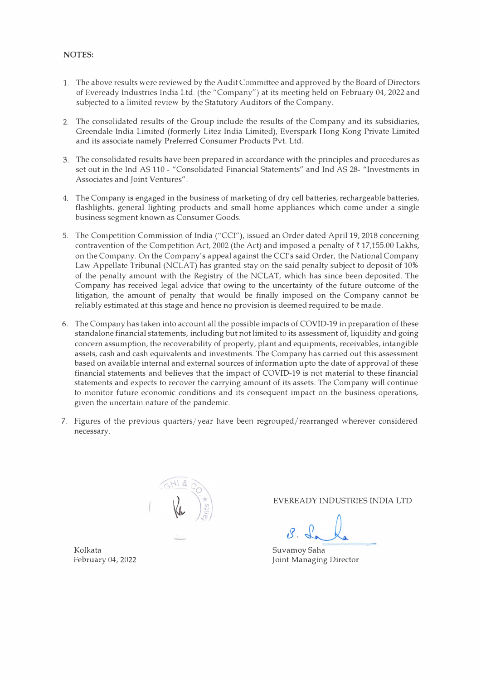# **NOTES:**

- 1. The above results were reviewed by the Audit Committee and approved by the Board of Directors of Eveready Industries India Ltd. (the "Company") at its meeting held on February 04, 2022 and subjected to a limited review by the Statutory Auditors of the Company.
- 2. The consolidated results of the Group include the results of the Company and its subsidiaries, Greendale India Limited (formerly Litez India Limited), Everspark Hong Kong Private Limited and its associate namely Preferred Consumer Products Pvt. Ltd.
- 3. The consolidated results have been prepared in accordance with the principles and procedures as set out in the Ind AS 110 - "Consolidated Financial Statements" and Ind AS 28- "Investments in Associates and Joint Ventures".
- 4. The Company is engaged in the business of marketing of dry cell batteries, rechargeable batteries, flashlights, general lighting products and small home appliances which come under a single business segment known as Consumer Goods.
- 5. The Competition Commission of India ("CCI"), issued an Order dated April 19, 2018 concerning contravention of the Competition Act, 2002 (the Act) and imposed a penalty of  $\bar{\tau}$  17,155.00 Lakhs, on the Company. On the Company's appeal against the CCI's said Order, the National Company Law Appellate Tribunal (NCLAT) has granted stay on the said penalty subject to deposit of 10% of the penalty amount with the Registry of the NCLAT, which has since been deposited. The Company has received legal advice that owing to the uncertainty of the future outcome of the litigation, the amount of penalty that would be finally imposed on the Company cannot be reliably estimated at this stage and hence no provision is deemed required to be made.
- 6. The Company has taken into account all the possible impacts of COVID-19 in preparation of these standalone financial statements, including but not limited to its assessment of, liquidity and going concern assumption, the recoverability of property, plant and equipments, receivables, intangible assets, cash and cash equivalents and investments. The Company has carried out this assessment based on available internal and external sources of information upto the date of approval of these financial statements and believes that the impact of COVID-19 is not material to these financial statements and expects to recover the carrying amount of its assets. The Company will continue to monitor future economic conditions and its consequent impact on the business operations, given the uncertain nature of the pandemic.
- 7. Figures of the previous quarters/year have been regrouped/rearranged wherever considered necessary.



EVEREADY INDUSTRIES INDIA LTD

February 04, 2022 **February 04, 2022** Joint Managing Director

Kolkata Suvamoy Saha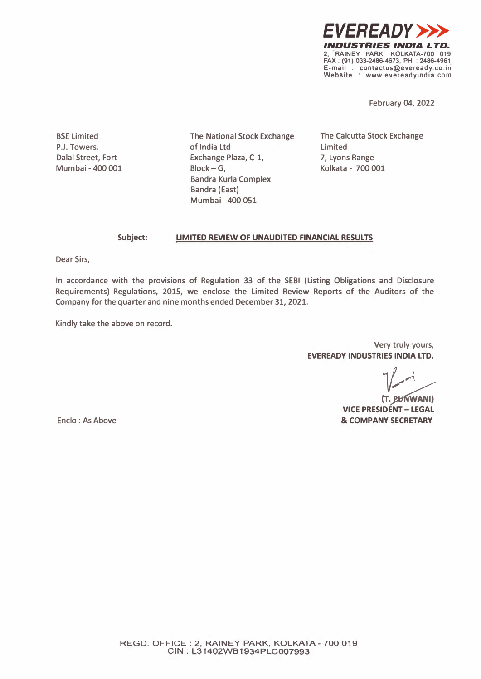

**February 04, 2022** 

**SSE Limited P.J. Towers, Dalal Street, Fort Mumbai - 400 001**  **The National Stock Exchange of India Ltd Exchange Plaza, C-1, Slock-G, Sandra Kurla Complex Sandra (East) Mumbai - 400 051** 

**The Calcutta Stock Exchange Limited 7, Lyons Range Kolkata - 700 001** 

#### **Subject: LIMITED REVIEW OF UNAUDITED FINANCIAL RESULTS**

**Dear Sirs,** 

**In accordance with the provisions of Regulation 33 of the SEBI (Listing Obligations and Disclosure Requirements) Regulations, 2015, we enclose the Limited Review Reports of the Auditors of the Company for the quarter and nine months ended December 31, 2021.** 

**Kindly take the above on record.** 

**Very truly yours, EVEREADY INDUSTRIES INDIA LTD.**<br> */*<br> */* 

*i* **VICE PRESIDENT - LEGAL & COMPANY SECRETARY** 

**Enclo : As Above**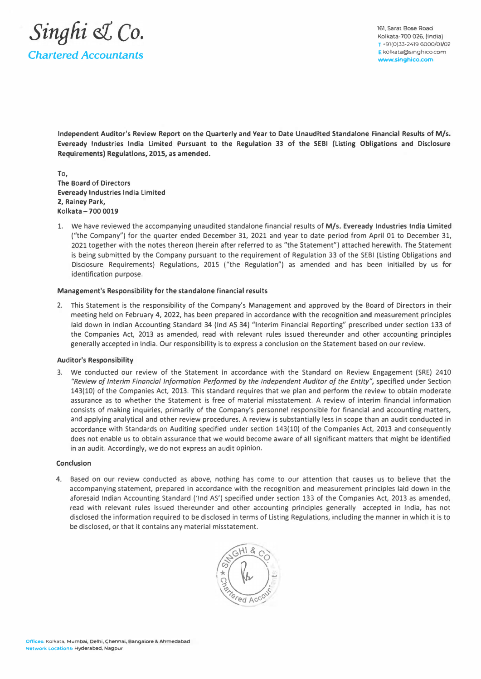

161, Sarat Bose Aoad Kolkata-700 026, (India) T +91(0)33-2419 6000/01/02 E kolkata@singhico.com **www.singhico.com** 

**Independent Auditor's Review Report on the Quarterly and Year to Date Unaudited Standalone Financial Results of M/s. Eveready Industries India Limited Pursuant to the Regulation 33 of the SEBI (Listing Obligations and Disclosure Requirements) Regulations, 2015, as amended.** 

To, The Board of Directors Eveready Industries India Limited 2, Rainey Park, Kolkata - 700 0019

1. We have reviewed the accompanying unaudited standalone financial results of **M/s.** Eveready Industries India Limited {"the Company") for the quarter ended December 31, 2021 and year to date period from April 01 to December 31, 2021 together with the notes thereon (herein after referred to as "the Statement") attached herewith. The Statement is being submitted by the Company pursuant to the requirement of Regulation 33 of the SEBI {Listing Obligations and Disclosure Requirements) Regulations, 2015 ("the Regulation") as amended and has been initialled by us **for** identification purpose.

#### **Management's Responsibility for the standalone financial results**

2. This Statement is the responsibility of the Company's Management and approved by the Board of Directors in their meeting held on February 4, 2022, has been prepared in accordance with the recognition and measurement principles laid down in Indian Accounting Standard 34 (Ind AS 34) "Interim Financial Reporting" prescribed under section 133 of the Companies Act, 2013 as amended, read with relevant rules issued thereunder and other accounting principles generally accepted in India. Our responsibility is to express a conclusion on the Statement based on our review.

#### **Auditor's Responsibility**

3. We conducted our review of the Statement in accordance with the Standard on Review Engagement {SRE) 2410 *"Review of Interim Financial Information Performed by the Independent Auditor of the Entity",* specified under Section 143(10) of the Companies Act, 2013. This standard requires that we plan and perform the review to obtain moderate assurance as to whether the Statement is free of material misstatement. A review of interim financial information consists of making inquiries, primarily of the Company's personnel responsible for financial and accounting matters, and applying analytical and other review procedures. A review is substantially less in scope than an audit conducted in accordance with Standards on Auditing specified under section 143(10) of the Companies Act, 2013 and consequently does not enable us to obtain assurance that we would become aware of all significant matters that might be identified in an audit. Accordingly, we do not express an audit opinion.

#### **Conclusion**

4. Based on our review conducted as above, nothing has come to our attention that causes us to believe that the accompanying statement, prepared in accordance with the recognition and measurement principles laid down in the aforesaid Indian Accounting Standard ('Ind AS') specified under section 133 of the Companies Act, 2013 as amended, read with relevant rules issued thereunder and other accounting principles generally accepted in India, has not disclosed the information required to be disclosed in terms of Listing Regulations, including the manner in which it is to be disclosed, or that it contains any material misstatement.

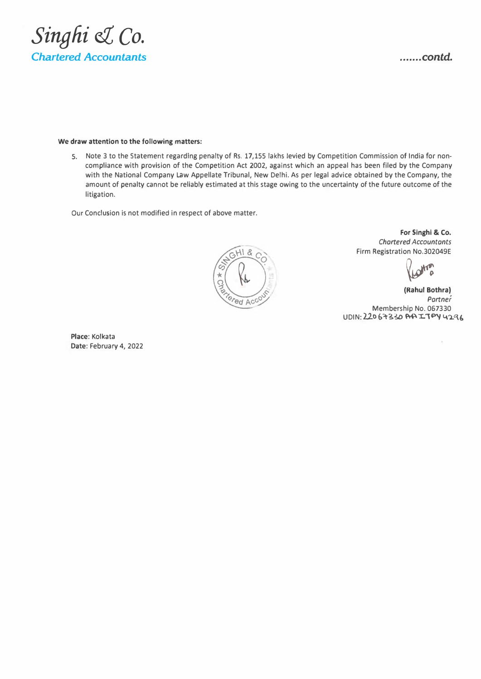

### **We draw attention to the following matters:**

S. Note 3 to the Statement regarding penalty of Rs. 17,155 lakhs levied by Competition Commission of India for noncompliance with provision of the Competition Act 2002, against which an appeal has been filed by the Company with the National Company Law Appellate Tribunal, New Delhi. As per legal advice obtained by the Company, the amount of penalty cannot be reliably estimated at this stage owing to the uncertainty of the future outcome of the litigation.

Our Conclusion is not modified in respect of above matter.



**For Singhi & Co.**  *Chartered Accountants*  Firm Registration No.302049E

**Vestra** 

**(Rahul Bothra)**  *Partner*  Membership No. 067330 UDIN: 22067330 AA ITPY 4296

Place: Kolkata Date: February 4, 2022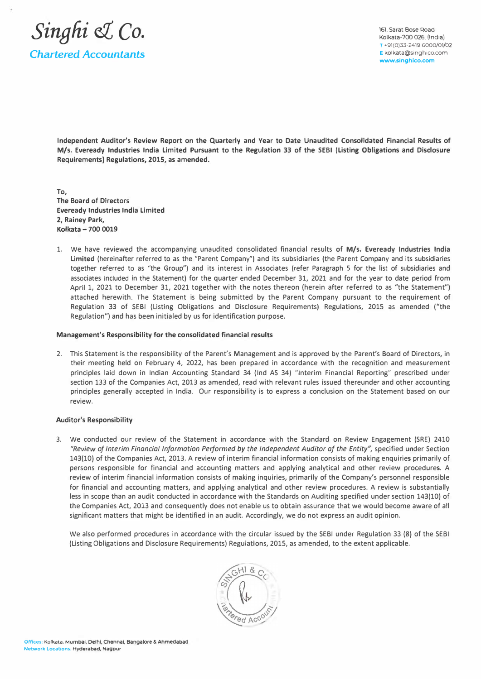

161, Sarat Bose Road Kolkata-700 026, (India) **T +91(0)33-2419 6000/01/02 E** kolkata@singhico.com **www.singhico.com** 

**Independent Auditor's Review Report on the Quarterly and Year to Date Unaudited Consolidated Financial Results of M/s.** Eveready Industries India Limited Pursuant to the Regulation 33 of the SEBI (Listing Obligations and Disclosure Requirements) Regulations, **2015,** as amended.

To, The Board of Directors Eveready Industries India Limited **2, Rainey Park, Kolkata - 700 0019** 

1. We have reviewed the accompanying unaudited consolidated financial results of **M/s. Eveready Industries India Limited** (hereinafter referred to as the "Parent Company") and its subsidiaries (the Parent Company and its subsidiaries together referred to as "the Group") and its interest in Associates (refer Paragraph 5 for the list of subsidiaries and associates included in the Statement) for the quarter ended December 31, 2021 and for the year to date period from April 1, 2021 to December 31, 2021 together with the notes thereon (herein after referred to as "the Statement") attached herewith. The Statement is being submitted by the Parent Company pursuant to the requirement of Regulation 33 of SEBI (Listing Obligations and Disclosure Requirements) Regulations, 2015 as amended ("the Regulation") and has been initialed by us for identification purpose.

#### **Management's Responsibility for the consolidated financial results**

2. This Statement is the responsibility of the Parent's Management and is approved by the Parent's Board of Directors, in their meeting held on February 4, 2022, has been prepared in accordance with the recognition and measurement principles laid down in Indian Accounting Standard 34 (Ind AS 34) "Interim Financial Reporting" prescribed under section 133 of the Companies Act, 2013 as amended, read with relevant rules issued thereunder and other accounting principles generally accepted in India. Our responsibility is to express a conclusion on the Statement based on our review.

## **Auditor's Responsibility**

3. We conducted our review of the Statement in accordance with the Standard on Review Engagement (SRE) 2410 *"Review of Interim Financial Information Performed by the Independent Auditor af the Entity",* specified under Section 143(10) of the Companies Act, 2013. A review of interim financial information consists of making enquiries primarily of persons responsible for financial and accounting matters and applying analytical and other review procedures. A review of interim financial information consists of making inquiries, primarily of the Company's personnel responsible for financial and accounting matters, and applying analytical and other review procedures. A review is substantially less in scope than an audit conducted in accordance with the Standards on Auditing specified under section 143(10) of the Companies Act, 2013 and consequently does not enable us to obtain assurance that we would become aware of all significant matters that might be identified in an audit. Accordingly, we do not express an audit opinion.

We also performed procedures in accordance with the circular issued by the SEBI under Regulation 33 (8) of the SEBI (Listing Obligations and Disclosure Requirements) Regulations, 2015, as amended, to the extent applicable.

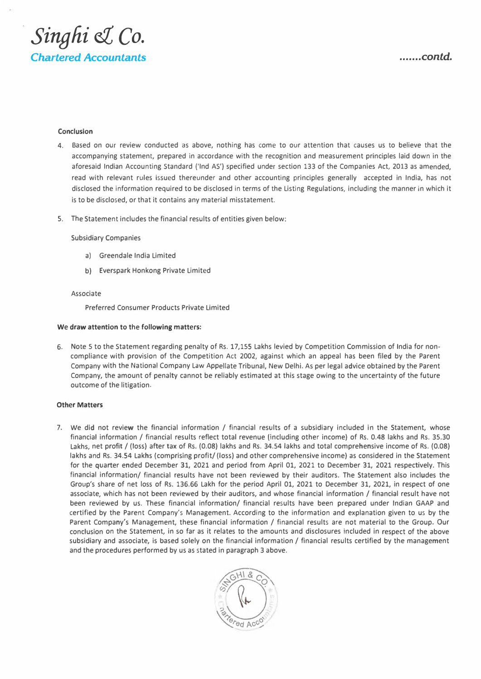

## **Conclusion**

- 4. Based on our review conducted as above, nothing has come to our attention that causes us to believe that the accompanying statement, prepared in accordance with the recognition and measurement principles laid down in the aforesaid Indian Accounting Standard {'Ind AS') specified under section 133 of the Companies Act, 2013 as amended, read with relevant rules issued thereunder and other accounting principles generally accepted in India, has not disclosed the information required to be disclosed in terms of the Listing Regulations, including the manner in which it is to be disclosed, or that it contains any material misstatement.
- S. The Statement includes the financial results of entities given below:

#### Subsidiary Companies

- a) Greendale India Limited
- b) Everspark Honkong Private Limited

#### Associate

Preferred Consumer Products Private Limited

#### **We draw attention to** the **following matters:**

6. Note 5 to the Statement regarding penalty of Rs. 17,155 Lakhs levied by Competition Commission of India for noncompliance with provision of the Competition Act 2002, against which an appeal has been filed by the Parent Company with the National Company Law Appellate Tribunal, New Delhi. As per legal advice obtained by the Parent Company, the amount of penalty cannot be reliably estimated at this stage owing to the uncertainty of the future outcome of the litigation.

#### **Other Matters**

7. We did not review the financial information / financial results of a subsidiary included in the Statement, whose financial information / financial results reflect total revenue (including other income) of Rs. 0.48 lakhs and Rs. 35.30 Lakhs, net profit / (loss) after tax of Rs. (0.08) lakhs and Rs. 34.54 lakhs and total comprehensive income of Rs. (0.08) lakhs and Rs. 34.54 Lakhs (comprising profit/ (loss) and other comprehensive income) as considered in the Statement for the quarter ended December 31, 2021 and period from April 01, 2021 to December 31, 2021 respectively. This financial information/ financial results have not been reviewed by their auditors. The Statement also includes the Group's share of net loss of Rs. 136.66 Lakh for the period April 01, 2021 to December 31, 2021, in respect of one associate, which has not been reviewed by their auditors, and whose financial information / financial result have not been reviewed by us. These financial information/ financial results have been prepared under Indian GAAP and certified by the Parent Company's Management. According to the information and explanation given to us by the Parent Company's Management, these financial information / financial results are not material to the Group. Our conclusion on the Statement, in so far as it relates to the amounts and disclosures included in respect of the above subsidiary and associate, is based solely on the financial information / financial results certified by the management and the procedures performed by us as stated in paragraph 3 above.